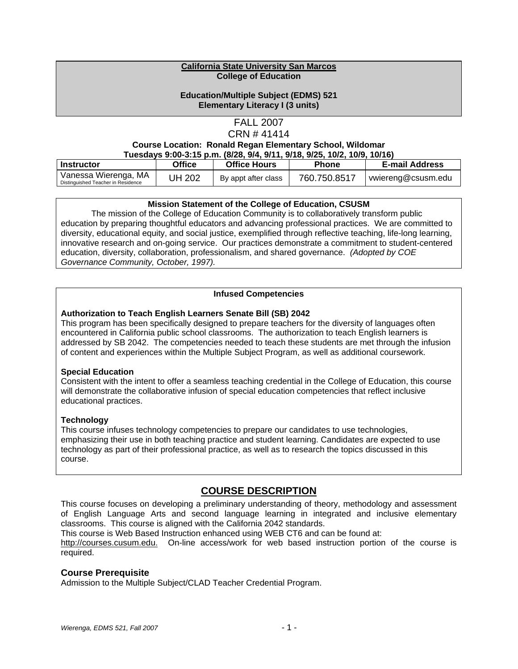#### **California State University San Marcos College of Education**

### **Education/Multiple Subject (EDMS) 521 Elementary Literacy I (3 units)**

### FALL 2007 CRN # 41414

#### **Course Location: Ronald Regan Elementary School, Wildomar Tuesdays 9:00-3:15 p.m. (8/28, 9/4, 9/11, 9/18, 9/25, 10/2, 10/9, 10/16)**

| Instructor                         | Office | <b>Office Hours</b> | Phone        | <b>E-mail Address</b> |
|------------------------------------|--------|---------------------|--------------|-----------------------|
| Vanessa Wierenga, MA               | UH 202 | By appt after class | 760.750.8517 | vwiereng@csusm.edu    |
| Distinguished Teacher in Residence |        |                     |              |                       |

### **Mission Statement of the College of Education, CSUSM**

 The mission of the College of Education Community is to collaboratively transform public education by preparing thoughtful educators and advancing professional practices. We are committed to diversity, educational equity, and social justice, exemplified through reflective teaching, life-long learning, innovative research and on-going service. Our practices demonstrate a commitment to student-centered education, diversity, collaboration, professionalism, and shared governance. *(Adopted by COE Governance Community, October, 1997).* 

### **Infused Competencies**

### **Authorization to Teach English Learners Senate Bill (SB) 2042**

This program has been specifically designed to prepare teachers for the diversity of languages often encountered in California public school classrooms. The authorization to teach English learners is addressed by SB 2042. The competencies needed to teach these students are met through the infusion of content and experiences within the Multiple Subject Program, as well as additional coursework.

#### **Special Education**

Consistent with the intent to offer a seamless teaching credential in the College of Education, this course will demonstrate the collaborative infusion of special education competencies that reflect inclusive educational practices.

### **Technology**

This course infuses technology competencies to prepare our candidates to use technologies, emphasizing their use in both teaching practice and student learning. Candidates are expected to use technology as part of their professional practice, as well as to research the topics discussed in this course.

# **COURSE DESCRIPTION**

This course focuses on developing a preliminary understanding of theory, methodology and assessment of English Language Arts and second language learning in integrated and inclusive elementary classrooms. This course is aligned with the California 2042 standards.

This course is Web Based Instruction enhanced using WEB CT6 and can be found at:

http://courses.cusum.edu. On-line access/work for web based instruction portion of the course is required.

### **Course Prerequisite**

Admission to the Multiple Subject/CLAD Teacher Credential Program.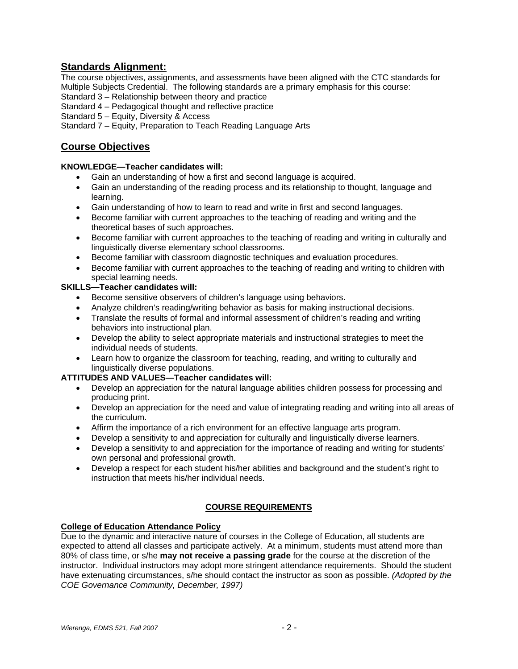# **Standards Alignment:**

The course objectives, assignments, and assessments have been aligned with the CTC standards for Multiple Subjects Credential. The following standards are a primary emphasis for this course:

Standard 3 – Relationship between theory and practice

Standard 4 – Pedagogical thought and reflective practice

Standard 5 – Equity, Diversity & Access

Standard 7 – Equity, Preparation to Teach Reading Language Arts

# **Course Objectives**

### **KNOWLEDGE—Teacher candidates will:**

- Gain an understanding of how a first and second language is acquired.
- Gain an understanding of the reading process and its relationship to thought, language and learning.
- Gain understanding of how to learn to read and write in first and second languages.
- Become familiar with current approaches to the teaching of reading and writing and the theoretical bases of such approaches.
- Become familiar with current approaches to the teaching of reading and writing in culturally and linguistically diverse elementary school classrooms.
- Become familiar with classroom diagnostic techniques and evaluation procedures.
- Become familiar with current approaches to the teaching of reading and writing to children with special learning needs.

### **SKILLS—Teacher candidates will:**

- Become sensitive observers of children's language using behaviors.
- Analyze children's reading/writing behavior as basis for making instructional decisions.
- Translate the results of formal and informal assessment of children's reading and writing behaviors into instructional plan.
- Develop the ability to select appropriate materials and instructional strategies to meet the individual needs of students.
- Learn how to organize the classroom for teaching, reading, and writing to culturally and linguistically diverse populations.

### **ATTITUDES AND VALUES—Teacher candidates will:**

- Develop an appreciation for the natural language abilities children possess for processing and producing print.
- Develop an appreciation for the need and value of integrating reading and writing into all areas of the curriculum.
- Affirm the importance of a rich environment for an effective language arts program.
- Develop a sensitivity to and appreciation for culturally and linguistically diverse learners.
- Develop a sensitivity to and appreciation for the importance of reading and writing for students' own personal and professional growth.
- Develop a respect for each student his/her abilities and background and the student's right to instruction that meets his/her individual needs.

### **COURSE REQUIREMENTS**

### **College of Education Attendance Policy**

Due to the dynamic and interactive nature of courses in the College of Education, all students are expected to attend all classes and participate actively. At a minimum, students must attend more than 80% of class time, or s/he **may not receive a passing grade** for the course at the discretion of the instructor. Individual instructors may adopt more stringent attendance requirements. Should the student have extenuating circumstances, s/he should contact the instructor as soon as possible. *(Adopted by the COE Governance Community, December, 1997)*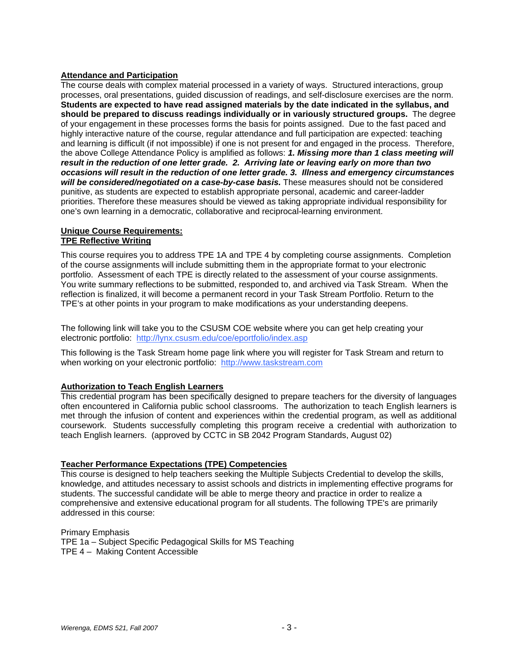### **Attendance and Participation**

The course deals with complex material processed in a variety of ways. Structured interactions, group processes, oral presentations, guided discussion of readings, and self-disclosure exercises are the norm. **Students are expected to have read assigned materials by the date indicated in the syllabus, and should be prepared to discuss readings individually or in variously structured groups.** The degree of your engagement in these processes forms the basis for points assigned. Due to the fast paced and highly interactive nature of the course, regular attendance and full participation are expected: teaching and learning is difficult (if not impossible) if one is not present for and engaged in the process. Therefore, the above College Attendance Policy is amplified as follows: *1. Missing more than 1 class meeting will result in the reduction of one letter grade. 2. Arriving late or leaving early on more than two occasions will result in the reduction of one letter grade. 3. Illness and emergency circumstances will be considered/negotiated on a case-by-case basis.* These measures should not be considered punitive, as students are expected to establish appropriate personal, academic and career-ladder priorities. Therefore these measures should be viewed as taking appropriate individual responsibility for one's own learning in a democratic, collaborative and reciprocal-learning environment.

#### **Unique Course Requirements: TPE Reflective Writing**

This course requires you to address TPE 1A and TPE 4 by completing course assignments. Completion of the course assignments will include submitting them in the appropriate format to your electronic portfolio. Assessment of each TPE is directly related to the assessment of your course assignments. You write summary reflections to be submitted, responded to, and archived via Task Stream.When the reflection is finalized, it will become a permanent record in your Task Stream Portfolio. Return to the TPE's at other points in your program to make modifications as your understanding deepens.

The following link will take you to the CSUSM COE website where you can get help creating your electronic portfolio: http://lynx.csusm.edu/coe/eportfolio/index.asp

This following is the Task Stream home page link where you will register for Task Stream and return to when working on your electronic portfolio: http://www.taskstream.com

### **Authorization to Teach English Learners**

This credential program has been specifically designed to prepare teachers for the diversity of languages often encountered in California public school classrooms. The authorization to teach English learners is met through the infusion of content and experiences within the credential program, as well as additional coursework. Students successfully completing this program receive a credential with authorization to teach English learners. (approved by CCTC in SB 2042 Program Standards, August 02)

### **Teacher Performance Expectations (TPE) Competencies**

This course is designed to help teachers seeking the Multiple Subjects Credential to develop the skills, knowledge, and attitudes necessary to assist schools and districts in implementing effective programs for students. The successful candidate will be able to merge theory and practice in order to realize a comprehensive and extensive educational program for all students. The following TPE's are primarily addressed in this course:

Primary Emphasis TPE 1a – Subject Specific Pedagogical Skills for MS Teaching TPE 4 – Making Content Accessible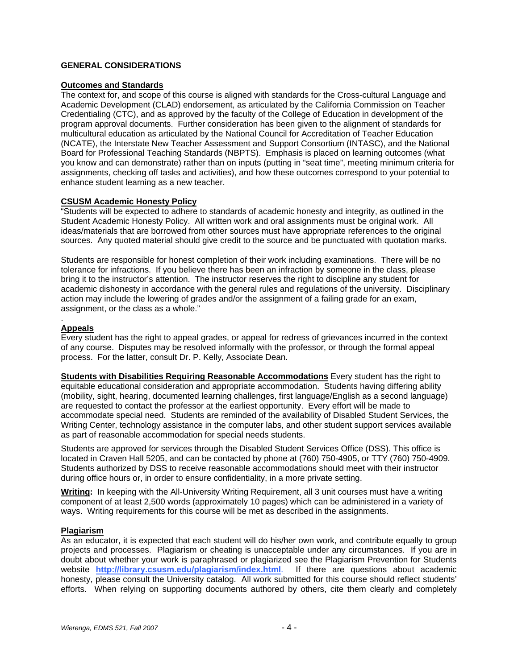### **GENERAL CONSIDERATIONS**

### **Outcomes and Standards**

The context for, and scope of this course is aligned with standards for the Cross-cultural Language and Academic Development (CLAD) endorsement, as articulated by the California Commission on Teacher Credentialing (CTC), and as approved by the faculty of the College of Education in development of the program approval documents. Further consideration has been given to the alignment of standards for multicultural education as articulated by the National Council for Accreditation of Teacher Education (NCATE), the Interstate New Teacher Assessment and Support Consortium (INTASC), and the National Board for Professional Teaching Standards (NBPTS). Emphasis is placed on learning outcomes (what you know and can demonstrate) rather than on inputs (putting in "seat time", meeting minimum criteria for assignments, checking off tasks and activities), and how these outcomes correspond to your potential to enhance student learning as a new teacher.

### **CSUSM Academic Honesty Policy**

"Students will be expected to adhere to standards of academic honesty and integrity, as outlined in the Student Academic Honesty Policy. All written work and oral assignments must be original work. All ideas/materials that are borrowed from other sources must have appropriate references to the original sources. Any quoted material should give credit to the source and be punctuated with quotation marks.

Students are responsible for honest completion of their work including examinations. There will be no tolerance for infractions. If you believe there has been an infraction by someone in the class, please bring it to the instructor's attention. The instructor reserves the right to discipline any student for academic dishonesty in accordance with the general rules and regulations of the university. Disciplinary action may include the lowering of grades and/or the assignment of a failing grade for an exam. assignment, or the class as a whole."

#### . **Appeals**

Every student has the right to appeal grades, or appeal for redress of grievances incurred in the context of any course. Disputes may be resolved informally with the professor, or through the formal appeal process. For the latter, consult Dr. P. Kelly, Associate Dean.

**Students with Disabilities Requiring Reasonable Accommodations** Every student has the right to equitable educational consideration and appropriate accommodation. Students having differing ability (mobility, sight, hearing, documented learning challenges, first language/English as a second language) are requested to contact the professor at the earliest opportunity. Every effort will be made to accommodate special need. Students are reminded of the availability of Disabled Student Services, the Writing Center, technology assistance in the computer labs, and other student support services available as part of reasonable accommodation for special needs students.

Students are approved for services through the Disabled Student Services Office (DSS). This office is located in Craven Hall 5205, and can be contacted by phone at (760) 750-4905, or TTY (760) 750-4909. Students authorized by DSS to receive reasonable accommodations should meet with their instructor during office hours or, in order to ensure confidentiality, in a more private setting.

**Writing:** In keeping with the All-University Writing Requirement, all 3 unit courses must have a writing component of at least 2,500 words (approximately 10 pages) which can be administered in a variety of ways. Writing requirements for this course will be met as described in the assignments.

#### **Plagiarism**

As an educator, it is expected that each student will do his/her own work, and contribute equally to group projects and processes. Plagiarism or cheating is unacceptable under any circumstances. If you are in doubt about whether your work is paraphrased or plagiarized see the Plagiarism Prevention for Students website **http://library.csusm.edu/plagiarism/index.html**. If there are questions about academic honesty, please consult the University catalog. All work submitted for this course should reflect students' efforts. When relying on supporting documents authored by others, cite them clearly and completely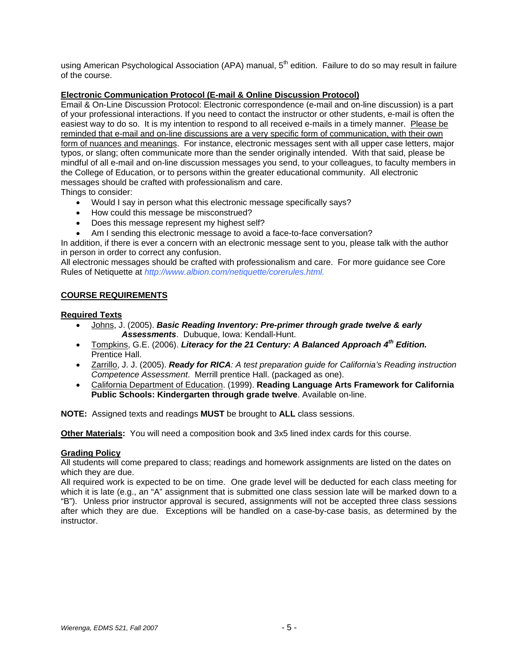using American Psychological Association (APA) manual, 5<sup>th</sup> edition. Failure to do so may result in failure of the course.

### **Electronic Communication Protocol (E-mail & Online Discussion Protocol)**

Email & On-Line Discussion Protocol: Electronic correspondence (e-mail and on-line discussion) is a part of your professional interactions. If you need to contact the instructor or other students, e-mail is often the easiest way to do so. It is my intention to respond to all received e-mails in a timely manner. Please be reminded that e-mail and on-line discussions are a very specific form of communication, with their own form of nuances and meanings. For instance, electronic messages sent with all upper case letters, major typos, or slang; often communicate more than the sender originally intended. With that said, please be mindful of all e-mail and on-line discussion messages you send, to your colleagues, to faculty members in the College of Education, or to persons within the greater educational community. All electronic messages should be crafted with professionalism and care.

Things to consider:

- Would I say in person what this electronic message specifically says?
- How could this message be misconstrued?
- Does this message represent my highest self?
- Am I sending this electronic message to avoid a face-to-face conversation?

In addition, if there is ever a concern with an electronic message sent to you, please talk with the author in person in order to correct any confusion.

All electronic messages should be crafted with professionalism and care. For more guidance see Core Rules of Netiquette at *http://www.albion.com/netiquette/corerules.html.*

### **COURSE REQUIREMENTS**

### **Required Texts**

- Johns, J. (2005). *Basic Reading Inventory: Pre-primer through grade twelve & early Assessments*. Dubuque, Iowa: Kendall-Hunt.
- Tompkins, G.E. (2006). *Literacy for the 21 Century: A Balanced Approach 4th Edition.* Prentice Hall.
- Zarrillo, J. J. (2005). *Ready for RICA: A test preparation guide for California's Reading instruction Competence Assessment*. Merrill prentice Hall. (packaged as one).
- California Department of Education. (1999). **Reading Language Arts Framework for California Public Schools: Kindergarten through grade twelve**. Available on-line.

**NOTE:** Assigned texts and readings **MUST** be brought to **ALL** class sessions.

**Other Materials:** You will need a composition book and 3x5 lined index cards for this course.

### **Grading Policy**

All students will come prepared to class; readings and homework assignments are listed on the dates on which they are due.

All required work is expected to be on time. One grade level will be deducted for each class meeting for which it is late (e.g., an "A" assignment that is submitted one class session late will be marked down to a "B"). Unless prior instructor approval is secured, assignments will not be accepted three class sessions after which they are due. Exceptions will be handled on a case-by-case basis, as determined by the instructor.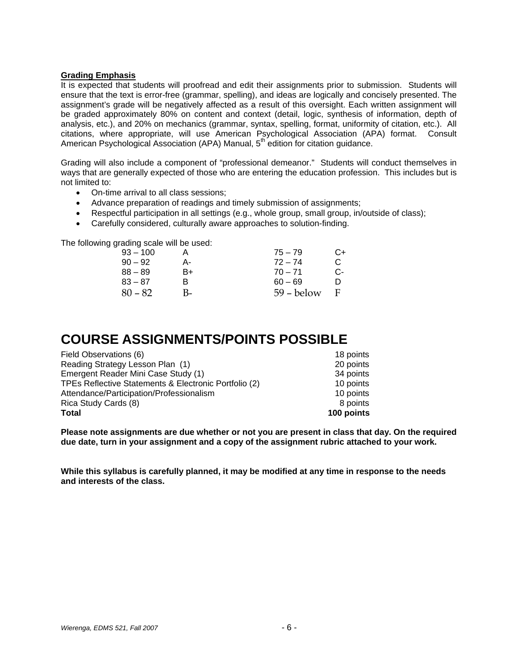### **Grading Emphasis**

It is expected that students will proofread and edit their assignments prior to submission. Students will ensure that the text is error-free (grammar, spelling), and ideas are logically and concisely presented. The assignment's grade will be negatively affected as a result of this oversight. Each written assignment will be graded approximately 80% on content and context (detail, logic, synthesis of information, depth of analysis, etc.), and 20% on mechanics (grammar, syntax, spelling, format, uniformity of citation, etc.). All citations, where appropriate, will use American Psychological Association (APA) format. Consult American Psychological Association (APA) Manual, 5<sup>th</sup> edition for citation guidance.

Grading will also include a component of "professional demeanor." Students will conduct themselves in ways that are generally expected of those who are entering the education profession. This includes but is not limited to:

- On-time arrival to all class sessions;
- Advance preparation of readings and timely submission of assignments;
- Respectful participation in all settings (e.g., whole group, small group, in/outside of class);
- Carefully considered, culturally aware approaches to solution-finding.

The following grading scale will be used:

| 93 – 100  |    | $75 - 79$    | C+ |
|-----------|----|--------------|----|
| $90 - 92$ | А- | $72 - 74$    | C. |
| 88 – 89   | B+ | $70 - 71$    | C- |
| 83 – 87   | R  | $60 - 69$    | n  |
| $80 - 82$ | B- | $59 -$ below | -F |

# **COURSE ASSIGNMENTS/POINTS POSSIBLE**

| 18 points  |
|------------|
| 20 points  |
| 34 points  |
| 10 points  |
| 10 points  |
| 8 points   |
| 100 points |
|            |

**Please note assignments are due whether or not you are present in class that day. On the required due date, turn in your assignment and a copy of the assignment rubric attached to your work.** 

**While this syllabus is carefully planned, it may be modified at any time in response to the needs and interests of the class.**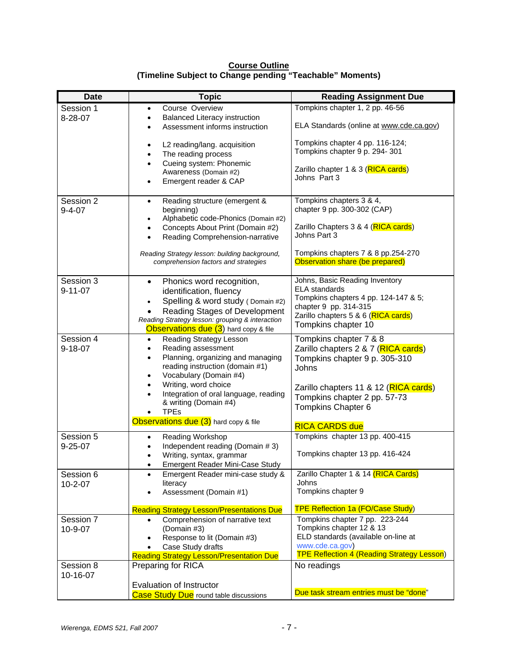| <b>Date</b>   | <b>Topic</b>                                                                          | <b>Reading Assignment Due</b>                                        |
|---------------|---------------------------------------------------------------------------------------|----------------------------------------------------------------------|
| Session 1     | Course Overview                                                                       | Tompkins chapter 1, 2 pp. 46-56                                      |
| 8-28-07       | <b>Balanced Literacy instruction</b>                                                  |                                                                      |
|               | Assessment informs instruction                                                        | ELA Standards (online at www.cde.ca.gov)                             |
|               |                                                                                       | Tompkins chapter 4 pp. 116-124;                                      |
|               | L2 reading/lang. acquisition<br>$\bullet$<br>The reading process                      | Tompkins chapter 9 p. 294-301                                        |
|               | Cueing system: Phonemic                                                               |                                                                      |
|               | Awareness (Domain #2)                                                                 | Zarillo chapter 1 & 3 (RICA cards)                                   |
|               | Emergent reader & CAP<br>$\bullet$                                                    | Johns Part 3                                                         |
|               |                                                                                       |                                                                      |
| Session 2     | Reading structure (emergent &<br>$\bullet$                                            | Tompkins chapters 3 & 4,<br>chapter 9 pp. 300-302 (CAP)              |
| $9 - 4 - 07$  | beginning)<br>Alphabetic code-Phonics (Domain #2)                                     |                                                                      |
|               | Concepts About Print (Domain #2)                                                      | Zarillo Chapters 3 & 4 (RICA cards)                                  |
|               | Reading Comprehension-narrative                                                       | Johns Part 3                                                         |
|               |                                                                                       | Tompkins chapters 7 & 8 pp.254-270                                   |
|               | Reading Strategy lesson: building background,<br>comprehension factors and strategies | Observation share (be prepared)                                      |
|               |                                                                                       |                                                                      |
| Session 3     | Phonics word recognition,<br>$\bullet$                                                | Johns, Basic Reading Inventory                                       |
| $9 - 11 - 07$ | identification, fluency                                                               | <b>ELA</b> standards                                                 |
|               | Spelling & word study (Domain #2)                                                     | Tompkins chapters 4 pp. 124-147 & 5;<br>chapter 9 pp. 314-315        |
|               | Reading Stages of Development                                                         | Zarillo chapters 5 & 6 (RICA cards)                                  |
|               | Reading Strategy lesson: grouping & interaction                                       | Tompkins chapter 10                                                  |
| Session 4     | Observations due (3) hard copy & file<br>Reading Strategy Lesson<br>$\bullet$         | Tompkins chapter 7 & 8                                               |
| $9 - 18 - 07$ | Reading assessment<br>$\bullet$                                                       | Zarillo chapters 2 & 7 (RICA cards)                                  |
|               | Planning, organizing and managing<br>$\bullet$                                        | Tompkins chapter 9 p. 305-310                                        |
|               | reading instruction (domain #1)                                                       | Johns                                                                |
|               | Vocabulary (Domain #4)<br>$\bullet$                                                   |                                                                      |
|               | Writing, word choice<br>$\bullet$                                                     | Zarillo chapters 11 & 12 (RICA cards)                                |
|               | Integration of oral language, reading                                                 | Tompkins chapter 2 pp. 57-73                                         |
|               | & writing (Domain #4)<br><b>TPEs</b>                                                  | Tompkins Chapter 6                                                   |
|               | Observations due (3) hard copy & file                                                 |                                                                      |
| Session 5     |                                                                                       | <b>RICA CARDS due</b><br>Tompkins chapter 13 pp. 400-415             |
| $9 - 25 - 07$ | Reading Workshop<br>Independent reading (Domain #3)                                   |                                                                      |
|               | Writing, syntax, grammar                                                              | Tompkins chapter 13 pp. 416-424                                      |
|               | Emergent Reader Mini-Case Study                                                       |                                                                      |
| Session 6     | Emergent Reader mini-case study &<br>٠                                                | Zarillo Chapter 1 & 14 (RICA Cards)                                  |
| $10 - 2 - 07$ | literacy                                                                              | Johns                                                                |
|               | Assessment (Domain #1)                                                                | Tompkins chapter 9                                                   |
|               | <b>Reading Strategy Lesson/Presentations Due</b>                                      | <b>TPE Reflection 1a (FO/Case Study)</b>                             |
| Session 7     | Comprehension of narrative text<br>$\bullet$                                          | Tompkins chapter 7 pp. 223-244                                       |
| 10-9-07       | (Domain #3)                                                                           | Tompkins chapter 12 & 13                                             |
|               | Response to lit (Domain #3)                                                           | ELD standards (available on-line at                                  |
|               | Case Study drafts<br><b>Reading Strategy Lesson/Presentation Due</b>                  | www.cde.ca.gov)<br><b>TPE Reflection 4 (Reading Strategy Lesson)</b> |
| Session 8     | Preparing for RICA                                                                    | No readings                                                          |
| 10-16-07      |                                                                                       |                                                                      |
|               | <b>Evaluation of Instructor</b>                                                       |                                                                      |
|               | Case Study Due round table discussions                                                | Due task stream entries must be "done"                               |

| <b>Course Outline</b>                                    |
|----------------------------------------------------------|
| (Timeline Subject to Change pending "Teachable" Moments) |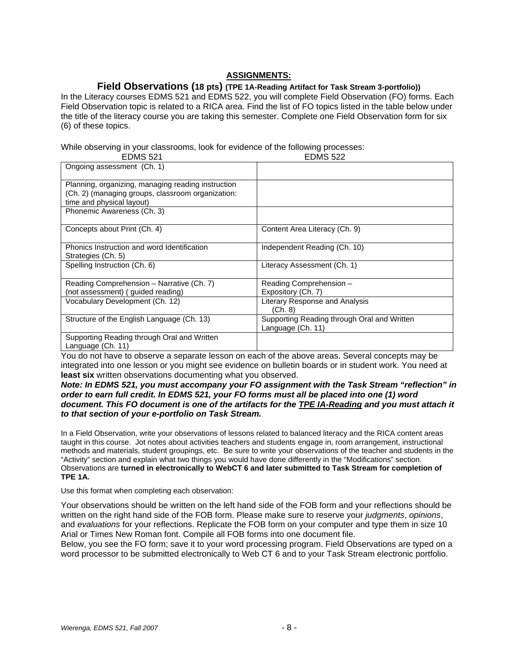### **ASSIGNMENTS:**

### **Field Observations (18 pts) (TPE 1A-Reading Artifact for Task Stream 3-portfolio))**

In the Literacy courses EDMS 521 and EDMS 522, you will complete Field Observation (FO) forms. Each Field Observation topic is related to a RICA area. Find the list of FO topics listed in the table below under the title of the literacy course you are taking this semester. Complete one Field Observation form for six (6) of these topics.

While observing in your classrooms, look for evidence of the following processes:

| <b>EDMS 521</b>                                    | <b>EDMS 522</b>                             |
|----------------------------------------------------|---------------------------------------------|
| Ongoing assessment (Ch. 1)                         |                                             |
|                                                    |                                             |
| Planning, organizing, managing reading instruction |                                             |
| (Ch. 2) (managing groups, classroom organization:  |                                             |
| time and physical layout)                          |                                             |
| Phonemic Awareness (Ch. 3)                         |                                             |
|                                                    |                                             |
| Concepts about Print (Ch. 4)                       | Content Area Literacy (Ch. 9)               |
|                                                    |                                             |
| Phonics Instruction and word Identification        | Independent Reading (Ch. 10)                |
| Strategies (Ch. 5)                                 |                                             |
| Spelling Instruction (Ch. 6)                       | Literacy Assessment (Ch. 1)                 |
|                                                    |                                             |
| Reading Comprehension - Narrative (Ch. 7)          | Reading Comprehension -                     |
| (not assessment) (guided reading)                  | Expository (Ch. 7)                          |
| Vocabulary Development (Ch. 12)                    | Literary Response and Analysis              |
|                                                    | (Ch. 8)                                     |
| Structure of the English Language (Ch. 13)         | Supporting Reading through Oral and Written |
|                                                    | Language (Ch. 11)                           |
| Supporting Reading through Oral and Written        |                                             |
| Language (Ch. 11)                                  |                                             |

You do not have to observe a separate lesson on each of the above areas. Several concepts may be integrated into one lesson or you might see evidence on bulletin boards or in student work. You need at **least six** written observations documenting what you observed.

#### *Note: In EDMS 521, you must accompany your FO assignment with the Task Stream "reflection" in order to earn full credit. In EDMS 521, your FO forms must all be placed into one (1) word document. This FO document is one of the artifacts for the TPE IA-Reading and you must attach it to that section of your e-portfolio on Task Stream.*

In a Field Observation, write your observations of lessons related to balanced literacy and the RICA content areas taught in this course. Jot notes about activities teachers and students engage in, room arrangement, instructional methods and materials, student groupings, etc. Be sure to write your observations of the teacher and students in the "Activity" section and explain what two things you would have done differently in the "Modifications" section. Observations are **turned in electronically to WebCT 6 and later submitted to Task Stream for completion of TPE 1A.** 

Use this format when completing each observation:

Your observations should be written on the left hand side of the FOB form and your reflections should be written on the right hand side of the FOB form. Please make sure to reserve your *judgments*, *opinions*, and *evaluations* for your reflections. Replicate the FOB form on your computer and type them in size 10 Arial or Times New Roman font. Compile all FOB forms into one document file.

Below, you see the FO form; save it to your word processing program. Field Observations are typed on a word processor to be submitted electronically to Web CT 6 and to your Task Stream electronic portfolio.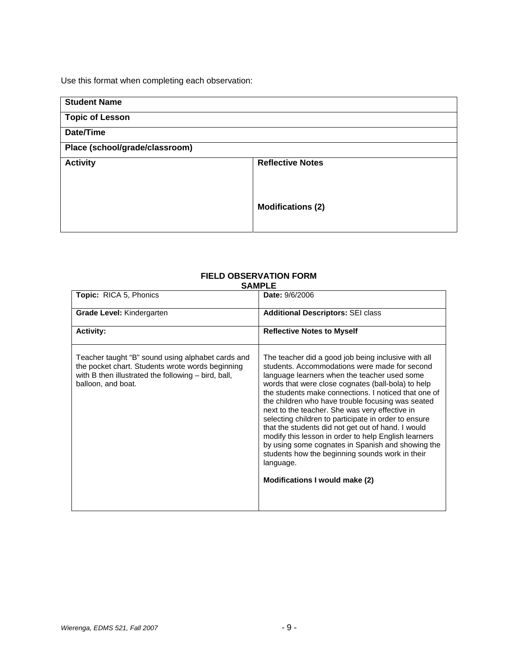Use this format when completing each observation:

| <b>Student Name</b>            |                          |
|--------------------------------|--------------------------|
| <b>Topic of Lesson</b>         |                          |
| Date/Time                      |                          |
| Place (school/grade/classroom) |                          |
| <b>Activity</b>                | <b>Reflective Notes</b>  |
|                                |                          |
|                                |                          |
|                                | <b>Modifications (2)</b> |
|                                |                          |

# **FIELD OBSERVATION FORM**

### **SAMPLE**

| Topic: RICA 5, Phonics                                                                                                                                                             | Date: 9/6/2006                                                                                                                                                                                                                                                                                                                                                                                                                                                                                                                                                                                                                                                                                         |
|------------------------------------------------------------------------------------------------------------------------------------------------------------------------------------|--------------------------------------------------------------------------------------------------------------------------------------------------------------------------------------------------------------------------------------------------------------------------------------------------------------------------------------------------------------------------------------------------------------------------------------------------------------------------------------------------------------------------------------------------------------------------------------------------------------------------------------------------------------------------------------------------------|
| <b>Grade Level: Kindergarten</b>                                                                                                                                                   | <b>Additional Descriptors: SEI class</b>                                                                                                                                                                                                                                                                                                                                                                                                                                                                                                                                                                                                                                                               |
| <b>Activity:</b>                                                                                                                                                                   | <b>Reflective Notes to Myself</b>                                                                                                                                                                                                                                                                                                                                                                                                                                                                                                                                                                                                                                                                      |
| Teacher taught "B" sound using alphabet cards and<br>the pocket chart. Students wrote words beginning<br>with B then illustrated the following – bird, ball,<br>balloon, and boat. | The teacher did a good job being inclusive with all<br>students. Accommodations were made for second<br>language learners when the teacher used some<br>words that were close cognates (ball-bola) to help<br>the students make connections. I noticed that one of<br>the children who have trouble focusing was seated<br>next to the teacher. She was very effective in<br>selecting children to participate in order to ensure<br>that the students did not get out of hand. I would<br>modify this lesson in order to help English learners<br>by using some cognates in Spanish and showing the<br>students how the beginning sounds work in their<br>language.<br>Modifications I would make (2) |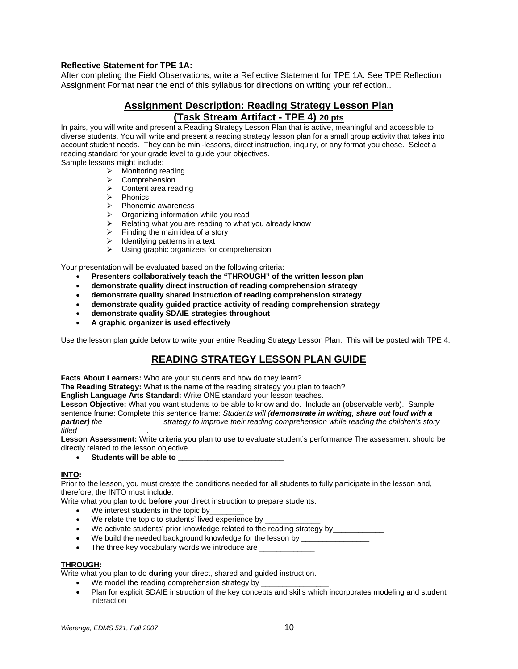### **Reflective Statement for TPE 1A:**

After completing the Field Observations, write a Reflective Statement for TPE 1A. See TPE Reflection Assignment Format near the end of this syllabus for directions on writing your reflection..

### **Assignment Description: Reading Strategy Lesson Plan (Task Stream Artifact - TPE 4) 20 pts**

In pairs, you will write and present a Reading Strategy Lesson Plan that is active, meaningful and accessible to diverse students. You will write and present a reading strategy lesson plan for a small group activity that takes into account student needs. They can be mini-lessons, direct instruction, inquiry, or any format you chose. Select a reading standard for your grade level to guide your objectives.

Sample lessons might include:

- $\triangleright$  Monitoring reading
- ¾ Comprehension
- $\triangleright$  Content area reading
- ¾ Phonics
- $\triangleright$  Phonemic awareness
- $\triangleright$  Organizing information while you read
- ightharpoonup Relating what you are reading to what you already know<br>  $\triangleright$  Finding the main idea of a story
- Finding the main idea of a story
- $\triangleright$  Identifying patterns in a text
- $\triangleright$  Using graphic organizers for comprehension

Your presentation will be evaluated based on the following criteria:

- **Presenters collaboratively teach the "THROUGH" of the written lesson plan**
- **demonstrate quality direct instruction of reading comprehension strategy**
- **demonstrate quality shared instruction of reading comprehension strategy**
- **demonstrate quality guided practice activity of reading comprehension strategy**
- **demonstrate quality SDAIE strategies throughout**
- **A graphic organizer is used effectively**

Use the lesson plan guide below to write your entire Reading Strategy Lesson Plan. This will be posted with TPE 4.

# **READING STRATEGY LESSON PLAN GUIDE**

**Facts About Learners:** Who are your students and how do they learn?

**The Reading Strategy:** What is the name of the reading strategy you plan to teach?

**English Language Arts Standard:** Write ONE standard your lesson teaches.

**Lesson Objective:** What you want students to be able to know and do. Include an (observable verb). Sample sentence frame: Complete this sentence frame: *Students will (demonstrate in writing, share out loud with a partner) the \_\_\_\_\_\_\_\_\_\_\_\_\_\_strategy to improve their reading comprehension while reading the children's story titled \_\_\_\_\_\_\_\_\_\_\_\_\_\_\_\_.* 

**Lesson Assessment:** Write criteria you plan to use to evaluate student's performance The assessment should be directly related to the lesson objective.

• Students will be able to

#### **INTO:**

Prior to the lesson, you must create the conditions needed for all students to fully participate in the lesson and, therefore, the INTO must include:

Write what you plan to do **before** your direct instruction to prepare students.

- We interest students in the topic by
- We relate the topic to students' lived experience by
- We activate students' prior knowledge related to the reading strategy by
- We build the needed background knowledge for the lesson by
- The three key vocabulary words we introduce are

#### **THROUGH:**

Write what you plan to do **during** your direct, shared and guided instruction.

- We model the reading comprehension strategy by
- Plan for explicit SDAIE instruction of the key concepts and skills which incorporates modeling and student interaction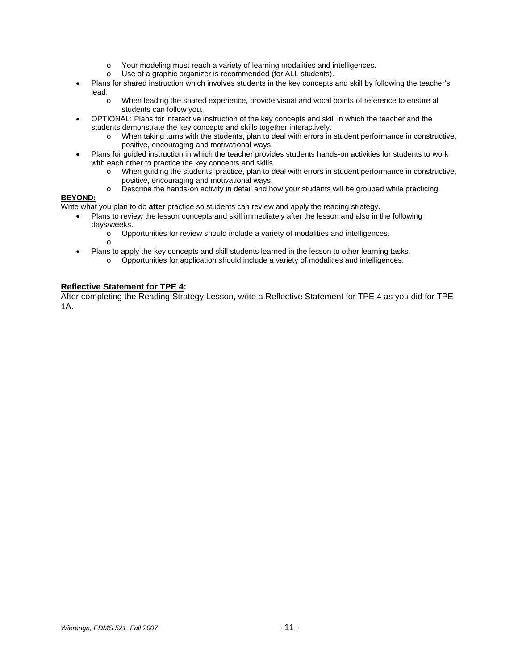- o Your modeling must reach a variety of learning modalities and intelligences.
- o Use of a graphic organizer is recommended (for ALL students).
- Plans for shared instruction which involves students in the key concepts and skill by following the teacher's lead.
	- o When leading the shared experience, provide visual and vocal points of reference to ensure all students can follow you.
- OPTIONAL: Plans for interactive instruction of the key concepts and skill in which the teacher and the students demonstrate the key concepts and skills together interactively.
	- o When taking turns with the students, plan to deal with errors in student performance in constructive, positive, encouraging and motivational ways.
- Plans for guided instruction in which the teacher provides students hands-on activities for students to work with each other to practice the key concepts and skills.
	- o When guiding the students' practice, plan to deal with errors in student performance in constructive, positive, encouraging and motivational ways.
	- o Describe the hands-on activity in detail and how your students will be grouped while practicing.

### **BEYOND:**

Write what you plan to do **after** practice so students can review and apply the reading strategy.

- Plans to review the lesson concepts and skill immediately after the lesson and also in the following days/weeks.
	- o Opportunities for review should include a variety of modalities and intelligences.
	- o
	- Plans to apply the key concepts and skill students learned in the lesson to other learning tasks. o Opportunities for application should include a variety of modalities and intelligences.

### **Reflective Statement for TPE 4:**

After completing the Reading Strategy Lesson, write a Reflective Statement for TPE 4 as you did for TPE 1A.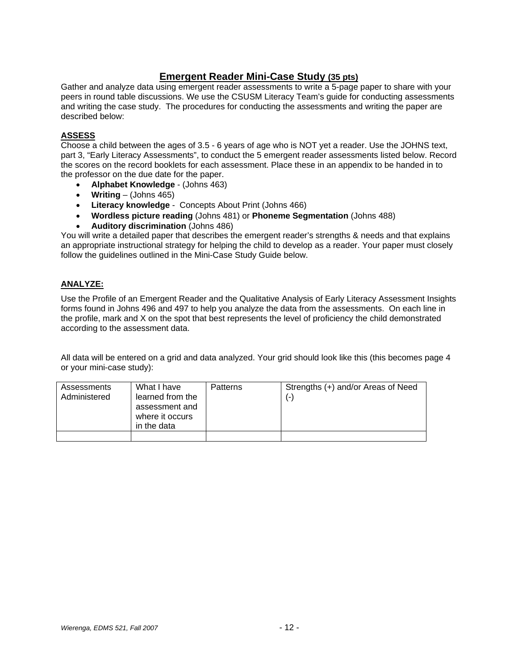# **Emergent Reader Mini-Case Study (35 pts)**

Gather and analyze data using emergent reader assessments to write a 5-page paper to share with your peers in round table discussions. We use the CSUSM Literacy Team's guide for conducting assessments and writing the case study. The procedures for conducting the assessments and writing the paper are described below:

### **ASSESS**

Choose a child between the ages of 3.5 - 6 years of age who is NOT yet a reader. Use the JOHNS text, part 3, "Early Literacy Assessments", to conduct the 5 emergent reader assessments listed below. Record the scores on the record booklets for each assessment. Place these in an appendix to be handed in to the professor on the due date for the paper.

- **Alphabet Knowledge** (Johns 463)
- **Writing** (Johns 465)
- **Literacy knowledge** Concepts About Print (Johns 466)
- **Wordless picture reading** (Johns 481) or **Phoneme Segmentation** (Johns 488)
- **Auditory discrimination** (Johns 486)

You will write a detailed paper that describes the emergent reader's strengths & needs and that explains an appropriate instructional strategy for helping the child to develop as a reader. Your paper must closely follow the guidelines outlined in the Mini-Case Study Guide below.

### **ANALYZE:**

Use the Profile of an Emergent Reader and the Qualitative Analysis of Early Literacy Assessment Insights forms found in Johns 496 and 497 to help you analyze the data from the assessments. On each line in the profile, mark and X on the spot that best represents the level of proficiency the child demonstrated according to the assessment data.

All data will be entered on a grid and data analyzed. Your grid should look like this (this becomes page 4 or your mini-case study):

| Assessments<br>Administered | What I have<br>learned from the<br>assessment and<br>where it occurs<br>in the data | <b>Patterns</b> | Strengths (+) and/or Areas of Need<br>$(-)$ |
|-----------------------------|-------------------------------------------------------------------------------------|-----------------|---------------------------------------------|
|                             |                                                                                     |                 |                                             |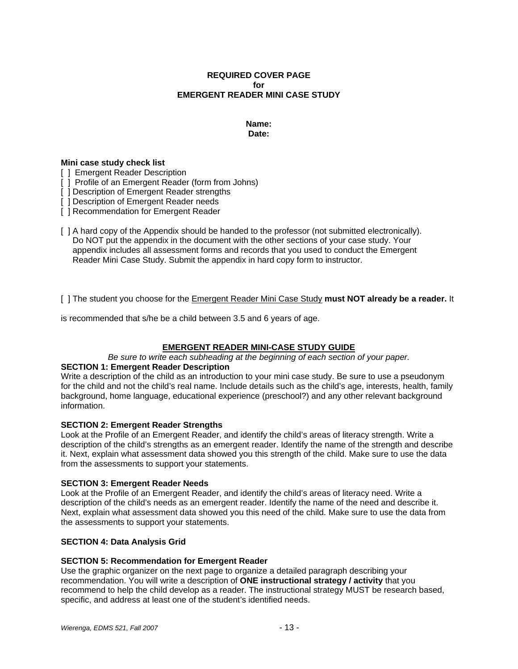### **REQUIRED COVER PAGE for EMERGENT READER MINI CASE STUDY**

### **Name: Date:**

#### **Mini case study check list**

- [ ] Emergent Reader Description
- [ ] Profile of an Emergent Reader (form from Johns)
- [ ] Description of Emergent Reader strengths
- [ ] Description of Emergent Reader needs
- [ ] Recommendation for Emergent Reader
- [ ] A hard copy of the Appendix should be handed to the professor (not submitted electronically). Do NOT put the appendix in the document with the other sections of your case study. Your appendix includes all assessment forms and records that you used to conduct the Emergent Reader Mini Case Study. Submit the appendix in hard copy form to instructor.

[ ] The student you choose for the Emergent Reader Mini Case Study **must NOT already be a reader.** It

is recommended that s/he be a child between 3.5 and 6 years of age.

### **EMERGENT READER MINI-CASE STUDY GUIDE**

#### *Be sure to write each subheading at the beginning of each section of your paper.*

### **SECTION 1: Emergent Reader Description**

Write a description of the child as an introduction to your mini case study. Be sure to use a pseudonym for the child and not the child's real name. Include details such as the child's age, interests, health, family background, home language, educational experience (preschool?) and any other relevant background information.

#### **SECTION 2: Emergent Reader Strengths**

Look at the Profile of an Emergent Reader, and identify the child's areas of literacy strength. Write a description of the child's strengths as an emergent reader. Identify the name of the strength and describe it. Next, explain what assessment data showed you this strength of the child. Make sure to use the data from the assessments to support your statements.

#### **SECTION 3: Emergent Reader Needs**

Look at the Profile of an Emergent Reader, and identify the child's areas of literacy need. Write a description of the child's needs as an emergent reader. Identify the name of the need and describe it. Next, explain what assessment data showed you this need of the child. Make sure to use the data from the assessments to support your statements.

#### **SECTION 4: Data Analysis Grid**

#### **SECTION 5: Recommendation for Emergent Reader**

Use the graphic organizer on the next page to organize a detailed paragraph describing your recommendation. You will write a description of **ONE instructional strategy / activity** that you recommend to help the child develop as a reader. The instructional strategy MUST be research based, specific, and address at least one of the student's identified needs.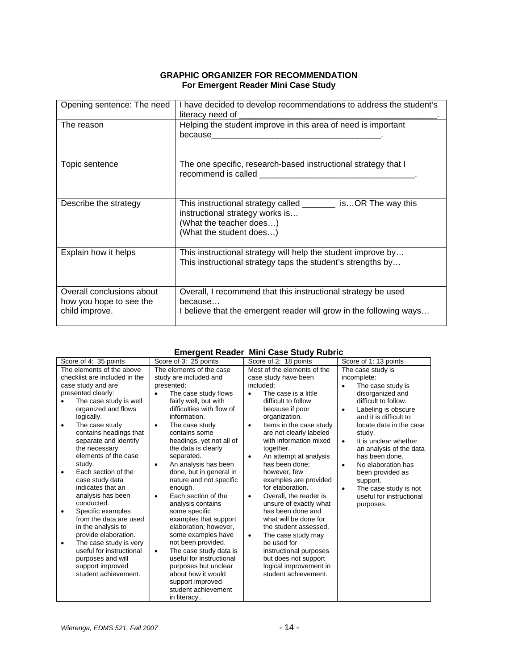### **GRAPHIC ORGANIZER FOR RECOMMENDATION For Emergent Reader Mini Case Study**

| Opening sentence: The need                                             | I have decided to develop recommendations to address the student's<br>literacy need of _________________                                                                                                                                                                                         |
|------------------------------------------------------------------------|--------------------------------------------------------------------------------------------------------------------------------------------------------------------------------------------------------------------------------------------------------------------------------------------------|
| The reason                                                             | Helping the student improve in this area of need is important                                                                                                                                                                                                                                    |
| Topic sentence                                                         | The one specific, research-based instructional strategy that I<br>recommend is called a state of the state of the state of the state of the state of the state of the state of the state of the state of the state of the state of the state of the state of the state of the state of the state |
| Describe the strategy                                                  | This instructional strategy called ________ isOR The way this<br>instructional strategy works is<br>(What the teacher does)<br>(What the student does)                                                                                                                                           |
| Explain how it helps                                                   | This instructional strategy will help the student improve by<br>This instructional strategy taps the student's strengths by                                                                                                                                                                      |
| Overall conclusions about<br>how you hope to see the<br>child improve. | Overall, I recommend that this instructional strategy be used<br>because<br>I believe that the emergent reader will grow in the following ways                                                                                                                                                   |

### **Emergent Reader Mini Case Study Rubric**

| Score of 4: 35 points          | Score of 3: 25 points               | Score of 2: 18 points               | Score of 1: 13 points              |
|--------------------------------|-------------------------------------|-------------------------------------|------------------------------------|
| The elements of the above      | The elements of the case            | Most of the elements of the         | The case study is                  |
| checklist are included in the  | study are included and              | case study have been                | incomplete:                        |
| case study and are             | presented:                          | included:                           | The case study is<br>$\bullet$     |
| presented clearly:             | The case study flows<br>$\bullet$   | The case is a little<br>$\bullet$   | disorganized and                   |
| The case study is well         | fairly well, but with               | difficult to follow                 | difficult to follow.               |
| organized and flows            | difficulties with flow of           | because if poor                     | Labeling is obscure<br>$\bullet$   |
| logically.                     | information.                        | organization.                       | and it is difficult to             |
| The case study<br>٠            | The case study<br>$\bullet$         | Items in the case study<br>٠        | locate data in the case            |
| contains headings that         | contains some                       | are not clearly labeled             | study.                             |
| separate and identify          | headings, yet not all of            | with information mixed              | It is unclear whether<br>$\bullet$ |
| the necessary                  | the data is clearly                 | together.                           | an analysis of the data            |
| elements of the case           | separated.                          | An attempt at analysis<br>$\bullet$ | has been done.                     |
| study.                         | An analysis has been<br>$\bullet$   | has been done:                      | No elaboration has<br>$\bullet$    |
| Each section of the<br>٠       | done, but in general in             | however, few                        | been provided as                   |
| case study data                | nature and not specific             | examples are provided               | support.                           |
| indicates that an              | enough.                             | for elaboration.                    | The case study is not<br>$\bullet$ |
| analysis has been              | Each section of the<br>$\bullet$    | Overall, the reader is<br>٠         | useful for instructional           |
| conducted.                     | analysis contains                   | unsure of exactly what              | purposes.                          |
| Specific examples<br>$\bullet$ | some specific                       | has been done and                   |                                    |
| from the data are used         | examples that support               | what will be done for               |                                    |
| in the analysis to             | elaboration; however,               | the student assessed.               |                                    |
| provide elaboration.           | some examples have                  | The case study may<br>$\bullet$     |                                    |
| The case study is very<br>٠    | not been provided.                  | be used for                         |                                    |
| useful for instructional       | The case study data is<br>$\bullet$ | instructional purposes              |                                    |
| purposes and will              | useful for instructional            | but does not support                |                                    |
| support improved               | purposes but unclear                | logical improvement in              |                                    |
| student achievement.           | about how it would                  | student achievement.                |                                    |
|                                | support improved                    |                                     |                                    |
|                                | student achievement                 |                                     |                                    |
|                                | in literacy                         |                                     |                                    |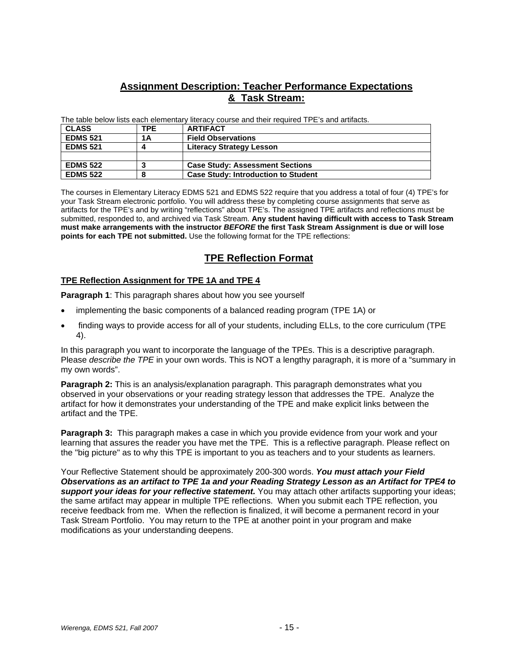# **Assignment Description: Teacher Performance Expectations & Task Stream:**

The table below lists each elementary literacy course and their required TPE's and artifacts.

| <b>CLASS</b>    | TPE | <b>ARTIFACT</b>                            |
|-----------------|-----|--------------------------------------------|
| <b>EDMS 521</b> | 1Α  | <b>Field Observations</b>                  |
| <b>EDMS 521</b> | Δ   | <b>Literacy Strategy Lesson</b>            |
|                 |     |                                            |
| <b>EDMS 522</b> |     | <b>Case Study: Assessment Sections</b>     |
| <b>EDMS 522</b> | 8   | <b>Case Study: Introduction to Student</b> |

The courses in Elementary Literacy EDMS 521 and EDMS 522 require that you address a total of four (4) TPE's for your Task Stream electronic portfolio. You will address these by completing course assignments that serve as artifacts for the TPE's and by writing "reflections" about TPE's. The assigned TPE artifacts and reflections must be submitted, responded to, and archived via Task Stream. **Any student having difficult with access to Task Stream must make arrangements with the instructor** *BEFORE* **the first Task Stream Assignment is due or will lose points for each TPE not submitted.** Use the following format for the TPE reflections:

# **TPE Reflection Format**

### **TPE Reflection Assignment for TPE 1A and TPE 4**

**Paragraph 1**: This paragraph shares about how you see yourself

- implementing the basic components of a balanced reading program (TPE 1A) or
- finding ways to provide access for all of your students, including ELLs, to the core curriculum (TPE 4).

In this paragraph you want to incorporate the language of the TPEs. This is a descriptive paragraph. Please *describe the TPE* in your own words. This is NOT a lengthy paragraph, it is more of a "summary in my own words".

**Paragraph 2:** This is an analysis/explanation paragraph. This paragraph demonstrates what you observed in your observations or your reading strategy lesson that addresses the TPE. Analyze the artifact for how it demonstrates your understanding of the TPE and make explicit links between the artifact and the TPE.

**Paragraph 3:** This paragraph makes a case in which you provide evidence from your work and your learning that assures the reader you have met the TPE. This is a reflective paragraph. Please reflect on the "big picture" as to why this TPE is important to you as teachers and to your students as learners.

Your Reflective Statement should be approximately 200-300 words. *You must attach your Field Observations as an artifact to TPE 1a and your Reading Strategy Lesson as an Artifact for TPE4 to support your ideas for your reflective statement.* You may attach other artifacts supporting your ideas; the same artifact may appear in multiple TPE reflections. When you submit each TPE reflection, you receive feedback from me. When the reflection is finalized, it will become a permanent record in your Task Stream Portfolio. You may return to the TPE at another point in your program and make modifications as your understanding deepens.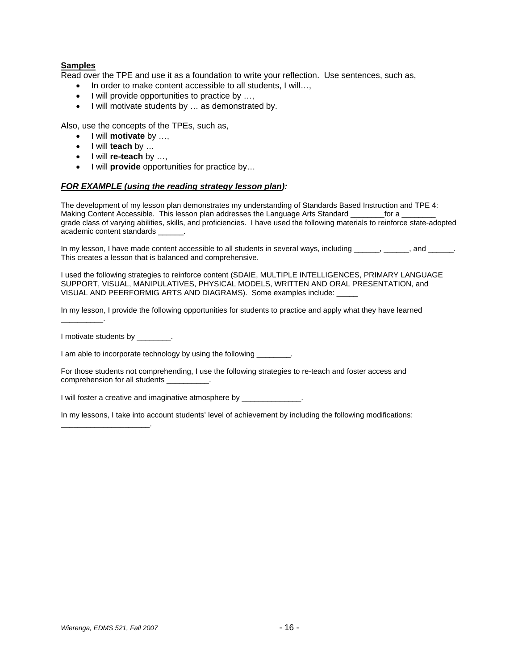### **Samples**

Read over the TPE and use it as a foundation to write your reflection. Use sentences, such as,

- In order to make content accessible to all students, I will...,
- I will provide opportunities to practice by ...,
- I will motivate students by … as demonstrated by.

Also, use the concepts of the TPEs, such as,

- I will **motivate** by …,
- I will **teach** by …
- I will **re-teach** by …,
- I will **provide** opportunities for practice by…

#### *FOR EXAMPLE (using the reading strategy lesson plan):*

The development of my lesson plan demonstrates my understanding of Standards Based Instruction and TPE 4: Making Content Accessible. This lesson plan addresses the Language Arts Standard \_\_\_\_\_\_\_\_\_\_\_\_\_\_\_\_\_\_\_\_\_\_\_\_\_\_\_\_\_\_\_ grade class of varying abilities, skills, and proficiencies. I have used the following materials to reinforce state-adopted academic content standards \_\_\_\_\_\_.

In my lesson, I have made content accessible to all students in several ways, including \_\_\_\_\_, \_\_\_\_\_, and \_\_\_\_\_. This creates a lesson that is balanced and comprehensive.

I used the following strategies to reinforce content (SDAIE, MULTIPLE INTELLIGENCES, PRIMARY LANGUAGE SUPPORT, VISUAL, MANIPULATIVES, PHYSICAL MODELS, WRITTEN AND ORAL PRESENTATION, and VISUAL AND PEERFORMIG ARTS AND DIAGRAMS). Some examples include: \_

In my lesson, I provide the following opportunities for students to practice and apply what they have learned

I motivate students by

\_\_\_\_\_\_\_\_\_\_\_\_\_\_\_\_\_\_\_\_\_.

\_\_\_\_\_\_\_\_\_\_.

I am able to incorporate technology by using the following \_\_\_\_\_\_\_\_\_\_\_\_\_\_\_\_\_\_\_\_\_\_

For those students not comprehending, I use the following strategies to re-teach and foster access and comprehension for all students \_

I will foster a creative and imaginative atmosphere by \_\_\_\_\_\_\_\_\_\_\_\_\_\_.

In my lessons, I take into account students' level of achievement by including the following modifications: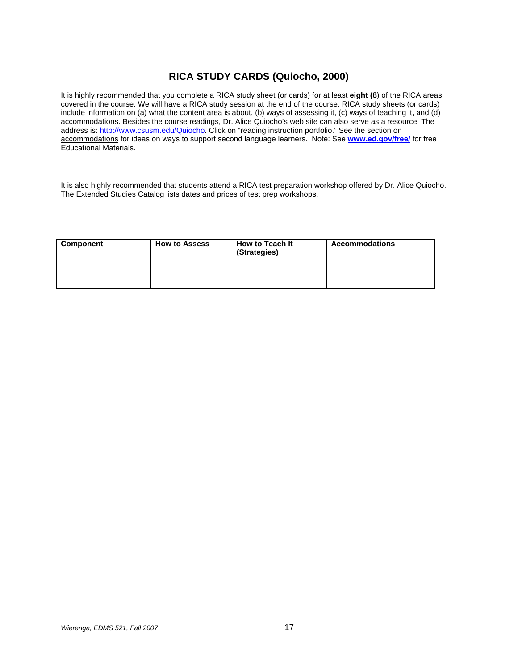# **RICA STUDY CARDS (Quiocho, 2000)**

It is highly recommended that you complete a RICA study sheet (or cards) for at least **eight (8**) of the RICA areas covered in the course. We will have a RICA study session at the end of the course. RICA study sheets (or cards) include information on (a) what the content area is about, (b) ways of assessing it, (c) ways of teaching it, and (d) accommodations. Besides the course readings, Dr. Alice Quiocho's web site can also serve as a resource. The address is: http://www.csusm.edu/Quiocho. Click on "reading instruction portfolio." See the section on accommodations for ideas on ways to support second language learners. Note: See **www.ed.gov/free/** for free Educational Materials.

It is also highly recommended that students attend a RICA test preparation workshop offered by Dr. Alice Quiocho. The Extended Studies Catalog lists dates and prices of test prep workshops.

| Component | <b>How to Assess</b> | <b>How to Teach It</b><br>(Strategies) | <b>Accommodations</b> |
|-----------|----------------------|----------------------------------------|-----------------------|
|           |                      |                                        |                       |
|           |                      |                                        |                       |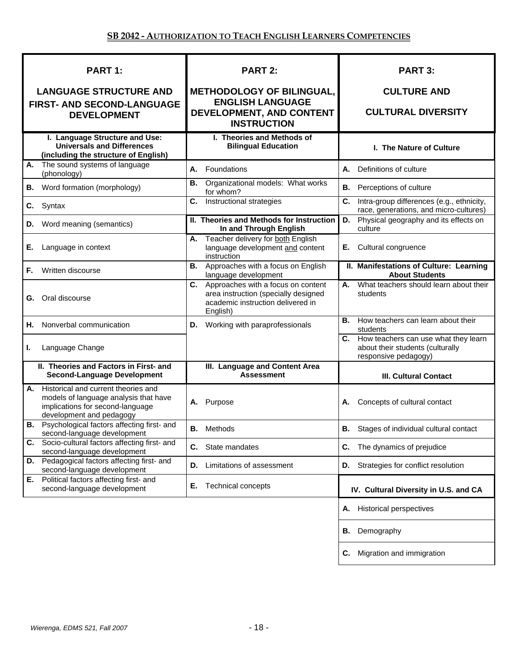| PART 1:                                                                                                                                            | <b>PART 2:</b>                                                                                                                    | <b>PART 3:</b>                                                                                      |
|----------------------------------------------------------------------------------------------------------------------------------------------------|-----------------------------------------------------------------------------------------------------------------------------------|-----------------------------------------------------------------------------------------------------|
| <b>LANGUAGE STRUCTURE AND</b>                                                                                                                      | <b>METHODOLOGY OF BILINGUAL,</b>                                                                                                  | <b>CULTURE AND</b>                                                                                  |
| <b>FIRST- AND SECOND-LANGUAGE</b><br><b>DEVELOPMENT</b>                                                                                            | <b>ENGLISH LANGUAGE</b><br>DEVELOPMENT, AND CONTENT<br><b>INSTRUCTION</b>                                                         | <b>CULTURAL DIVERSITY</b>                                                                           |
| I. Language Structure and Use:<br><b>Universals and Differences</b><br>(including the structure of English)                                        | I. Theories and Methods of<br><b>Bilingual Education</b>                                                                          | I. The Nature of Culture                                                                            |
| The sound systems of language<br>А.<br>(phonology)                                                                                                 | Foundations<br>А.                                                                                                                 | Definitions of culture<br>А.                                                                        |
| Word formation (morphology)<br>В.                                                                                                                  | Organizational models: What works<br>В.<br>for whom?                                                                              | <b>B.</b> Perceptions of culture                                                                    |
| Syntax<br>C.                                                                                                                                       | Instructional strategies<br>C.                                                                                                    | Intra-group differences (e.g., ethnicity,<br>С.<br>race, generations, and micro-cultures)           |
| <b>D.</b> Word meaning (semantics)                                                                                                                 | II. Theories and Methods for Instruction<br>In and Through English                                                                | Physical geography and its effects on<br>D.<br>culture                                              |
| Language in context<br>Е.                                                                                                                          | Teacher delivery for both English<br>А.<br>language development and content<br>instruction                                        | Cultural congruence<br>Е.                                                                           |
| Written discourse<br>F.                                                                                                                            | Approaches with a focus on English<br>В.<br>language development                                                                  | II. Manifestations of Culture: Learning<br><b>About Students</b>                                    |
| Oral discourse<br>G.                                                                                                                               | Approaches with a focus on content<br>C.<br>area instruction (specially designed<br>academic instruction delivered in<br>English) | A. What teachers should learn about their<br>students                                               |
| Nonverbal communication<br>Н.                                                                                                                      | Working with paraprofessionals<br>D.                                                                                              | How teachers can learn about their<br>В.<br>students                                                |
| L.<br>Language Change                                                                                                                              |                                                                                                                                   | C. How teachers can use what they learn<br>about their students (culturally<br>responsive pedagogy) |
| II. Theories and Factors in First- and<br><b>Second-Language Development</b>                                                                       | III. Language and Content Area<br><b>Assessment</b>                                                                               | <b>III. Cultural Contact</b>                                                                        |
| Historical and current theories and<br>А.<br>models of language analysis that have<br>implications for second-language<br>development and pedagogy | A. Purpose                                                                                                                        | Concepts of cultural contact<br>А.                                                                  |
| <b>B.</b> Psychological factors affecting first- and<br>second-language development                                                                | B.<br>Methods                                                                                                                     | В.<br>Stages of individual cultural contact                                                         |
| Socio-cultural factors affecting first- and<br>С.<br>second-language development                                                                   | C.<br>State mandates                                                                                                              | The dynamics of prejudice<br>С.                                                                     |
| Pedagogical factors affecting first- and<br>D.<br>second-language development                                                                      | Limitations of assessment<br>D.                                                                                                   | Strategies for conflict resolution<br>D.                                                            |
| Political factors affecting first- and<br>Е.<br>second-language development                                                                        | Technical concepts<br>Е.                                                                                                          | IV. Cultural Diversity in U.S. and CA                                                               |
|                                                                                                                                                    |                                                                                                                                   | <b>Historical perspectives</b><br>Α.                                                                |
|                                                                                                                                                    |                                                                                                                                   | Demography<br>В.                                                                                    |
|                                                                                                                                                    |                                                                                                                                   | Migration and immigration<br>C.                                                                     |